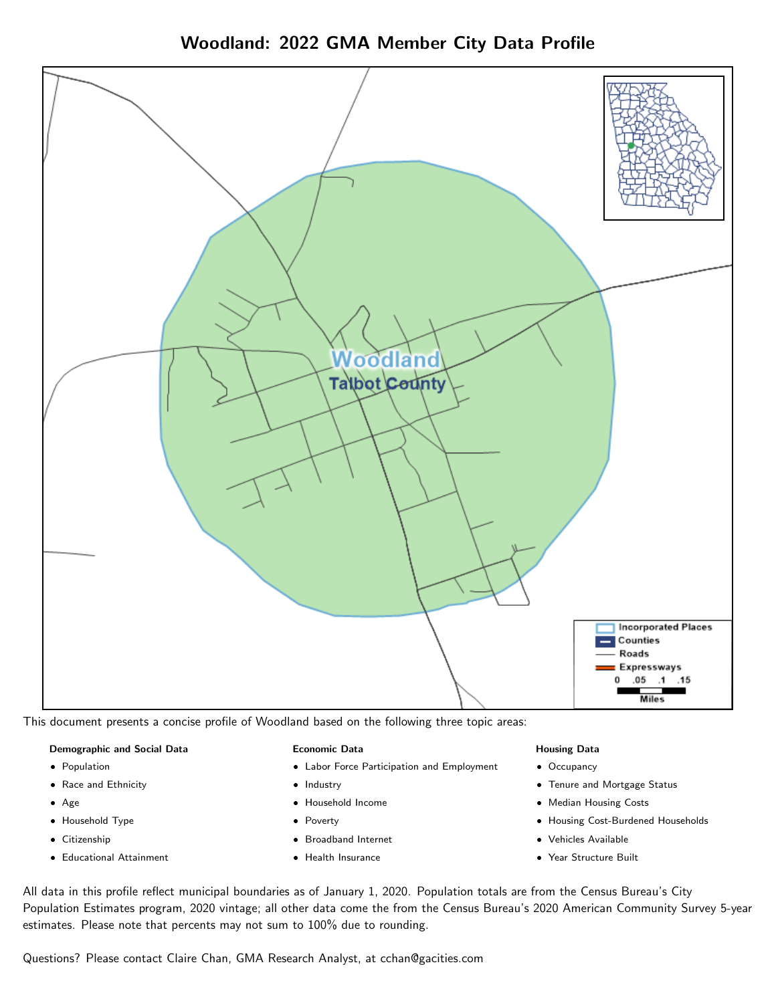



This document presents a concise profile of Woodland based on the following three topic areas:

#### Demographic and Social Data

- **•** Population
- Race and Ethnicity
- Age
- Household Type
- **Citizenship**
- Educational Attainment

#### Economic Data

- Labor Force Participation and Employment
- Industry
- Household Income
- Poverty
- Broadband Internet
- Health Insurance

#### Housing Data

- Occupancy
- Tenure and Mortgage Status
- Median Housing Costs
- Housing Cost-Burdened Households
- Vehicles Available
- Year Structure Built

All data in this profile reflect municipal boundaries as of January 1, 2020. Population totals are from the Census Bureau's City Population Estimates program, 2020 vintage; all other data come the from the Census Bureau's 2020 American Community Survey 5-year estimates. Please note that percents may not sum to 100% due to rounding.

Questions? Please contact Claire Chan, GMA Research Analyst, at [cchan@gacities.com.](mailto:cchan@gacities.com)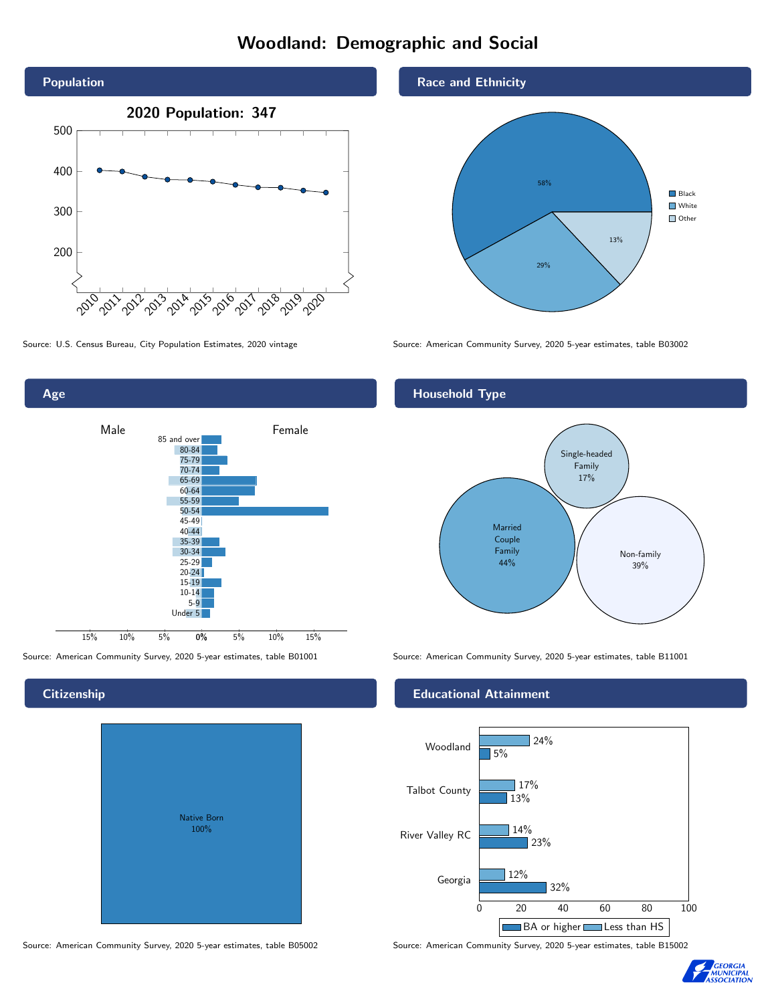# Woodland: Demographic and Social





**Citizenship** 

| <b>Native Born</b><br>100% |  |
|----------------------------|--|

Race and Ethnicity



Source: U.S. Census Bureau, City Population Estimates, 2020 vintage Source: American Community Survey, 2020 5-year estimates, table B03002

# Household Type



Source: American Community Survey, 2020 5-year estimates, table B01001 Source: American Community Survey, 2020 5-year estimates, table B11001

## Educational Attainment



Source: American Community Survey, 2020 5-year estimates, table B05002 Source: American Community Survey, 2020 5-year estimates, table B15002

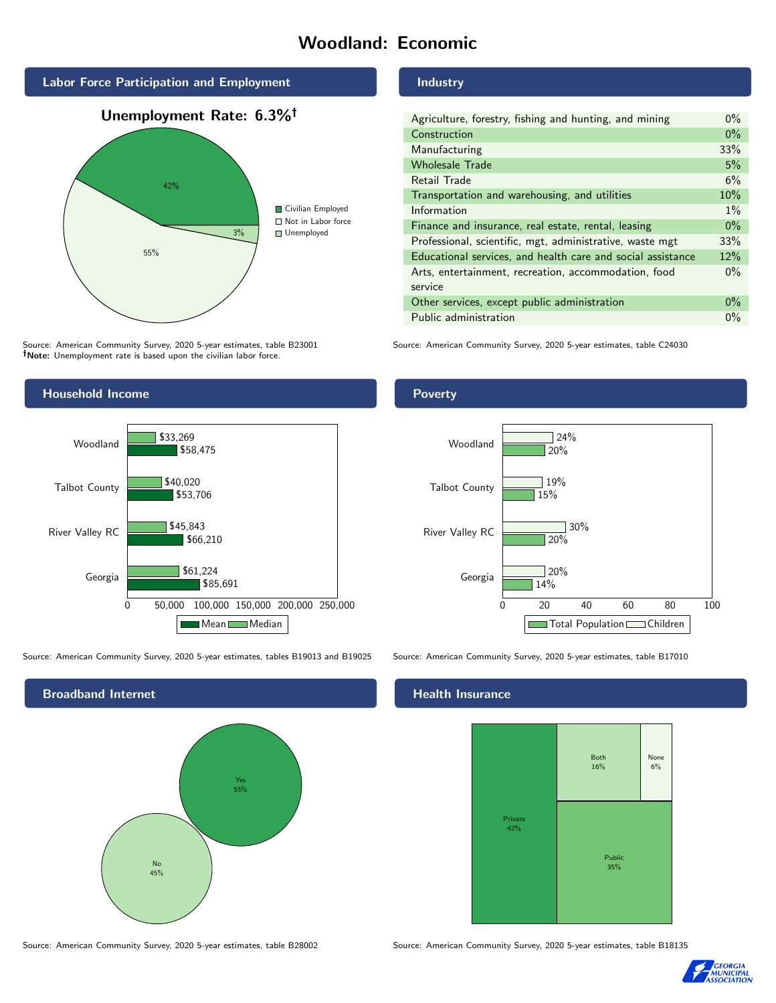# Woodland: Economic



Source: American Community Survey, 2020 5-year estimates, table B23001 Note: Unemployment rate is based upon the civilian labor force.

## Industry

| Agriculture, forestry, fishing and hunting, and mining      |     |
|-------------------------------------------------------------|-----|
| Construction                                                |     |
| Manufacturing                                               | 33% |
| <b>Wholesale Trade</b>                                      | 5%  |
| Retail Trade                                                | 6%  |
| Transportation and warehousing, and utilities               |     |
| Information                                                 |     |
| Finance and insurance, real estate, rental, leasing         |     |
| Professional, scientific, mgt, administrative, waste mgt    |     |
| Educational services, and health care and social assistance |     |
| Arts, entertainment, recreation, accommodation, food        |     |
| service                                                     |     |
| Other services, except public administration                |     |
| Public administration                                       |     |

Source: American Community Survey, 2020 5-year estimates, table C24030



Source: American Community Survey, 2020 5-year estimates, tables B19013 and B19025 Source: American Community Survey, 2020 5-year estimates, table B17010



Poverty



#### Health Insurance



Source: American Community Survey, 2020 5-year estimates, table B28002 Source: American Community Survey, 2020 5-year estimates, table B18135